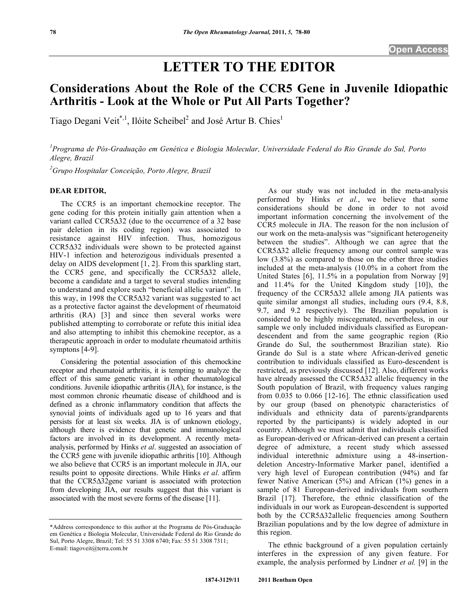# **LETTER TO THE EDITOR**

# **Considerations About the Role of the CCR5 Gene in Juvenile Idiopathic Arthritis - Look at the Whole or Put All Parts Together?**

Tiago Degani Veit<sup>\*,1</sup>, Ilóite Scheibel<sup>2</sup> and José Artur B. Chies<sup>1</sup>

<sup>1</sup> Programa de Pós-Graduação em Genética e Biologia Molecular, Universidade Federal do Rio Grande do Sul, Porto *Alegre, Brazil* 

*2 Grupo Hospitalar Conceição, Porto Alegre, Brazil* 

# **DEAR EDITOR,**

 The CCR5 is an important chemockine receptor. The gene coding for this protein initially gain attention when a variant called CCR5 $\Delta$ 32 (due to the occurrence of a 32 base pair deletion in its coding region) was associated to resistance against HIV infection. Thus, homozigous CCR5 $\Delta$ 32 individuals were shown to be protected against HIV-1 infection and heterozigous individuals presented a delay on AIDS development [1, 2]. From this sparkling start, the CCR5 gene, and specifically the  $CCR5\Delta32$  allele, become a candidate and a target to several studies intending to understand and explore such "beneficial allelic variant". In this way, in 1998 the CCR5 $\Delta$ 32 variant was suggested to act as a protective factor against the development of rheumatoid arthritis (RA) [3] and since then several works were published attempting to corroborate or refute this initial idea and also attempting to inhibit this chemokine receptor, as a therapeutic approach in order to modulate rheumatoid arthitis symptons [4-9].

 Considering the potential association of this chemockine receptor and rheumatoid arthritis, it is tempting to analyze the effect of this same genetic variant in other rheumatological conditions. Juvenile idiopathic arthritis (JIA), for instance, is the most common chronic rheumatic disease of childhood and is defined as a chronic inflammatory condition that affects the synovial joints of individuals aged up to 16 years and that persists for at least six weeks. JIA is of unknown etiology, although there is evidence that genetic and immunological factors are involved in its development. A recently metaanalysis, performed by Hinks *et al*. suggested an association of the CCR5 gene with juvenile idiopathic arthritis [10]. Although we also believe that CCR5 is an important molecule in JIA, our results point to opposite directions. While Hinks *et al*. affirm that the CCR532gene variant is associated with protection from developing JIA, our results suggest that this variant is associated with the most severe forms of the disease [11].

 As our study was not included in the meta-analysis performed by Hinks *et al.*, we believe that some considerations should be done in order to not avoid important information concerning the involvement of the CCR5 molecule in JIA. The reason for the non inclusion of our work on the meta-analysis was "significant heterogeneity between the studies". Although we can agree that the CCR5 $\Delta$ 32 allelic frequency among our control sample was low (3.8%) as compared to those on the other three studies included at the meta-analysis (10.0% in a cohort from the United States [6], 11.5% in a population from Norway [9] and 11.4% for the United Kingdom study [10]), the frequency of the CCR532 allele among JIA patients was quite similar amongst all studies, including ours (9.4, 8.8, 9.7, and 9.2 respectively). The Brazilian population is considered to be highly miscegenated, nevertheless, in our sample we only included individuals classified as Europeandescendent and from the same geographic region (Rio Grande do Sul, the southernmost Brazilian state). Rio Grande do Sul is a state where African-derived genetic contribution to individuals classified as Euro-descendent is restricted, as previously discussed [12]. Also, different works have already assessed the  $CCR5\Delta32$  allelic frequency in the South population of Brazil, with frequency values ranging from 0.035 to 0.066 [12-16]. The ethnic classification used by our group (based on phenotypic characteristics of individuals and ethnicity data of parents/grandparents reported by the participants) is widely adopted in our country. Although we must admit that individuals classified as European-derived or African-derived can present a certain degree of admixture, a recent study which assessed individual interethnic admixture using a 48-insertiondeletion Ancestry-Informative Marker panel, identified a very high level of European contribution (94%) and far fewer Native American (5%) and African (1%) genes in a sample of 81 European-derived individuals from southern Brazil [17]. Therefore, the ethnic classification of the individuals in our work as European-descendent is supported both by the CCR5 $\Delta$ 32allelic frequencies among Southern Brazilian populations and by the low degree of admixture in this region.

 The ethnic background of a given population certainly interferes in the expression of any given feature. For example, the analysis performed by Lindner *et al.* [9] in the

<sup>\*</sup>Address correspondence to this author at the Programa de Pós-Graduação em Genética e Biologia Molecular, Universidade Federal do Rio Grande do Sul, Porto Alegre, Brazil; Tel: 55 51 3308 6740; Fax: 55 51 3308 7311; E-mail: tiagoveit@terra.com.br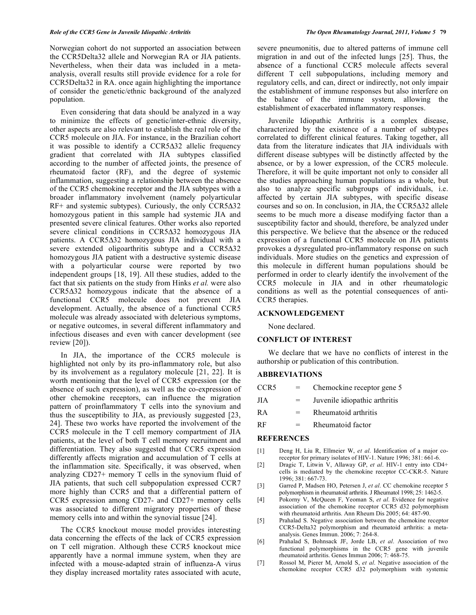Norwegian cohort do not supported an association between the CCR5Delta32 allele and Norwegian RA or JIA patients. Nevertheless, when their data was included in a metaanalysis, overall results still provide evidence for a role for CCR5Delta32 in RA. once again highlighting the importance of consider the genetic/ethnic background of the analyzed population.

 Even considering that data should be analyzed in a way to minimize the effects of genetic/inter-ethnic diversity, other aspects are also relevant to establish the real role of the CCR5 molecule on JIA. For instance, in the Brazilian cohort it was possible to identify a  $CCR5\Delta32$  allelic frequency gradient that correlated with JIA subtypes classified according to the number of affected joints, the presence of rheumatoid factor (RF), and the degree of systemic inflammation, suggesting a relationship between the absence of the CCR5 chemokine receptor and the JIA subtypes with a broader inflammatory involvement (namely polyarticular  $RF+$  and systemic subtypes). Curiously, the only  $CCR5\Delta32$ homozygous patient in this sample had systemic JIA and presented severe clinical features. Other works also reported severe clinical conditions in CCR5 $\Delta$ 32 homozygous JIA patients. A CCR5 $\Delta$ 32 homozygous JIA individual with a severe extended oligoarthritis subtype and a  $CCR5\Delta32$ homozygous JIA patient with a destructive systemic disease with a polyarticular course were reported by two independent groups [18, 19]. All these studies, added to the fact that six patients on the study from Hinks *et al.* were also CCR5 $\Delta$ 32 homozygous indicate that the absence of a functional CCR5 molecule does not prevent JIA development. Actually, the absence of a functional CCR5 molecule was already associated with deleterious symptoms, or negative outcomes, in several different inflammatory and infectious diseases and even with cancer development (see review [20]).

In JIA, the importance of the CCR5 molecule is highlighted not only by its pro-inflammatory role, but also by its involvement as a regulatory molecule [21, 22]. It is worth mentioning that the level of CCR5 expression (or the absence of such expression), as well as the co-expression of other chemokine receptors, can influence the migration pattern of proinflammatory T cells into the synovium and thus the susceptibility to JIA, as previously suggested [23, 24]. These two works have reported the involvement of the CCR5 molecule in the T cell memory compartment of JIA patients, at the level of both T cell memory recruitment and differentiation. They also suggested that CCR5 expression differently affects migration and accumulation of T cells at the inflammation site. Specifically, it was observed, when analyzing CD27+ memory T cells in the synovium fluid of JIA patients, that such cell subpopulation expressed CCR7 more highly than CCR5 and that a differential pattern of CCR5 expression among CD27- and CD27+ memory cells was associated to different migratory properties of these memory cells into and within the synovial tissue [24].

 The CCR5 knockout mouse model provides interesting data concerning the effects of the lack of CCR5 expression on T cell migration. Although these CCR5 knockout mice apparently have a normal immune system, when they are infected with a mouse-adapted strain of influenza-A virus they display increased mortality rates associated with acute,

severe pneumonitis, due to altered patterns of immune cell migration in and out of the infected lungs [25]. Thus, the absence of a functional CCR5 molecule affects several different T cell subpopulations, including memory and regulatory cells, and can, direct or indirectly, not only impair the establishment of immune responses but also interfere on the balance of the immune system, allowing the establishment of exacerbated inflammatory responses.

 Juvenile Idiopathic Arthritis is a complex disease, characterized by the existence of a number of subtypes correlated to different clinical features. Taking together, all data from the literature indicates that JIA individuals with different disease subtypes will be distinctly affected by the absence, or by a lower expression, of the CCR5 molecule. Therefore, it will be quite important not only to consider all the studies approaching human populations as a whole, but also to analyze specific subgroups of individuals, i.e. affected by certain JIA subtypes, with specific disease courses and so on. In conclusion, in  $JIA$ , the  $CCR5\Delta32$  allele seems to be much more a disease modifying factor than a susceptibility factor and should, therefore, be analyzed under this perspective. We believe that the absence or the reduced expression of a functional CCR5 molecule on JIA patients provokes a dysregulated pro-inflammatory response on such individuals. More studies on the genetics and expression of this molecule in different human populations should be performed in order to clearly identify the involvement of the CCR5 molecule in JIA and in other rheumatologic conditions as well as the potential consequences of anti-CCR5 therapies.

## **ACKNOWLEDGEMENT**

None declared.

#### **CONFLICT OF INTEREST**

 We declare that we have no conflicts of interest in the authorship or publication of this contribution.

### **ABBREVIATIONS**

| CCR <sub>5</sub> | Chemockine receptor gene 5    |
|------------------|-------------------------------|
| <b>JIA</b>       | Juvenile idiopathic arthritis |
| <b>RA</b>        | Rheumatoid arthritis          |
| <b>RF</b>        | Rheumatoid factor             |

#### **REFERENCES**

- [1] Deng H, Liu R, Ellmeier W, *et al*. Identification of a major coreceptor for primary isolates of HIV-1. Nature 1996; 381: 661-6.
- [2] Dragic T, Litwin V, Allaway GP, *et al*. HIV-1 entry into CD4+ cells is mediated by the chemokine receptor CC-CKR-5. Nature 1996; 381: 667-73.
- [3] Garred P, Madsen HO, Petersen J, *et al*. CC chemokine receptor 5 polymorphism in rheumatoid arthritis. J Rheumatol 1998; 25: 1462-5.
- [4] Pokorny V, McQueen F, Yeoman S, *et al*. Evidence for negative association of the chemokine receptor CCR5 d32 polymorphism with rheumatoid arthritis. Ann Rheum Dis 2005; 64: 487-90.
- [5] Prahalad S. Negative association between the chemokine receptor CCR5-Delta32 polymorphism and rheumatoid arthritis: a metaanalysis. Genes Immun. 2006; 7: 264-8.
- [6] Prahalad S, Bohnsack JF, Jorde LB, *et al*. Association of two functional polymorphisms in the CCR5 gene with juvenile rheumatoid arthritis. Genes Immun 2006; 7: 468-75.
- [7] Rossol M, Pierer M, Arnold S, *et al*. Negative association of the chemokine receptor CCR5 d32 polymorphism with systemic